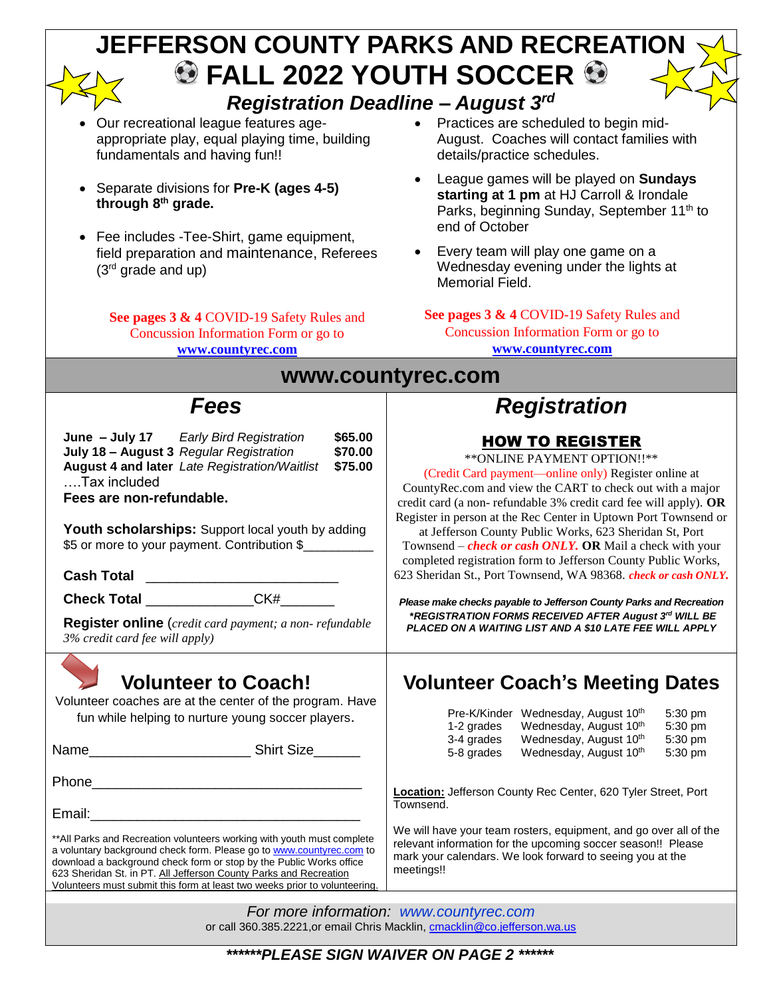|                                                                                                                                                                                                                                                                                                                                                                           | JEFFERSON COUNTY PARKS AND RECREATION                                                                                                                                                                                                                                                                                                                                                                                                      |  |  |  |  |
|---------------------------------------------------------------------------------------------------------------------------------------------------------------------------------------------------------------------------------------------------------------------------------------------------------------------------------------------------------------------------|--------------------------------------------------------------------------------------------------------------------------------------------------------------------------------------------------------------------------------------------------------------------------------------------------------------------------------------------------------------------------------------------------------------------------------------------|--|--|--|--|
|                                                                                                                                                                                                                                                                                                                                                                           | $\bullet$ FALL 2022 YOUTH SOCCER $\bullet$                                                                                                                                                                                                                                                                                                                                                                                                 |  |  |  |  |
| <b>Registration Deadline - August 3rd</b>                                                                                                                                                                                                                                                                                                                                 |                                                                                                                                                                                                                                                                                                                                                                                                                                            |  |  |  |  |
| Our recreational league features age-<br>appropriate play, equal playing time, building<br>fundamentals and having fun!!                                                                                                                                                                                                                                                  | Practices are scheduled to begin mid-<br>August. Coaches will contact families with<br>details/practice schedules.                                                                                                                                                                                                                                                                                                                         |  |  |  |  |
| Separate divisions for Pre-K (ages 4-5)<br>through 8th grade.<br>Fee includes -Tee-Shirt, game equipment,                                                                                                                                                                                                                                                                 | League games will be played on Sundays<br>starting at 1 pm at HJ Carroll & Irondale<br>Parks, beginning Sunday, September 11 <sup>th</sup> to<br>end of October                                                                                                                                                                                                                                                                            |  |  |  |  |
| field preparation and maintenance, Referees<br>$(3rd$ grade and up)                                                                                                                                                                                                                                                                                                       | Every team will play one game on a<br>Wednesday evening under the lights at<br>Memorial Field.                                                                                                                                                                                                                                                                                                                                             |  |  |  |  |
| See pages 3 & 4 COVID-19 Safety Rules and<br>Concussion Information Form or go to<br>www.countyrec.com                                                                                                                                                                                                                                                                    | See pages 3 & 4 COVID-19 Safety Rules and<br>Concussion Information Form or go to<br>www.countyrec.com                                                                                                                                                                                                                                                                                                                                     |  |  |  |  |
| www.countyrec.com                                                                                                                                                                                                                                                                                                                                                         |                                                                                                                                                                                                                                                                                                                                                                                                                                            |  |  |  |  |
| <b>Fees</b>                                                                                                                                                                                                                                                                                                                                                               | <b>Registration</b>                                                                                                                                                                                                                                                                                                                                                                                                                        |  |  |  |  |
| <b>Early Bird Registration</b><br>\$65.00<br>June - July 17<br>July 18 - August 3 Regular Registration<br>\$70.00<br><b>August 4 and later</b> Late Registration/Waitlist<br>\$75.00<br>Tax included<br>Fees are non-refundable.<br>Youth scholarships: Support local youth by adding<br>\$5 or more to your payment. Contribution \$                                     | <b>HOW TO REGISTER</b><br>** ONLINE PAYMENT OPTION !!**<br>(Credit Card payment—online only) Register online at<br>CountyRec.com and view the CART to check out with a major<br>credit card (a non-refundable 3% credit card fee will apply). OR<br>Register in person at the Rec Center in Uptown Port Townsend or<br>at Jefferson County Public Works, 623 Sheridan St, Port<br>Townsend – check or cash ONLY. OR Mail a check with your |  |  |  |  |
| <b>Cash Total</b><br>Check Total ______________CK#___<br><b>Register online</b> (credit card payment; a non-refundable<br>$3\%$ credit card fee will apply)                                                                                                                                                                                                               | completed registration form to Jefferson County Public Works,<br>623 Sheridan St., Port Townsend, WA 98368. check or cash ONLY.<br>Please make checks payable to Jefferson County Parks and Recreation<br>*REGISTRATION FORMS RECEIVED AFTER August 3rd WILL BE<br>PLACED ON A WAITING LIST AND A \$10 LATE FEE WILL APPLY                                                                                                                 |  |  |  |  |
| <b>Volunteer to Coach!</b><br>Volunteer coaches are at the center of the program. Have<br>fun while helping to nurture young soccer players.                                                                                                                                                                                                                              | <b>Volunteer Coach's Meeting Dates</b><br>Pre-K/Kinder Wednesday, August 10th<br>5:30 pm<br>Wednesday, August 10 <sup>th</sup><br>1-2 grades<br>5:30 pm<br>3-4 grades<br>Wednesday, August 10th<br>5:30 pm<br>5-8 grades<br>Wednesday, August 10th<br>5:30 pm                                                                                                                                                                              |  |  |  |  |
|                                                                                                                                                                                                                                                                                                                                                                           | Location: Jefferson County Rec Center, 620 Tyler Street, Port<br>Townsend.                                                                                                                                                                                                                                                                                                                                                                 |  |  |  |  |
| ** All Parks and Recreation volunteers working with youth must complete<br>a voluntary background check form. Please go to www.countyrec.com to<br>download a background check form or stop by the Public Works office<br>623 Sheridan St. in PT. All Jefferson County Parks and Recreation<br>Volunteers must submit this form at least two weeks prior to volunteering. | We will have your team rosters, equipment, and go over all of the<br>relevant information for the upcoming soccer season!! Please<br>mark your calendars. We look forward to seeing you at the<br>meetings!!                                                                                                                                                                                                                               |  |  |  |  |

or call 360.385.2221,or email Chris Macklin, [cmacklin@co.jefferson.wa.us](mailto:cmacklin@co.jefferson.wa.us)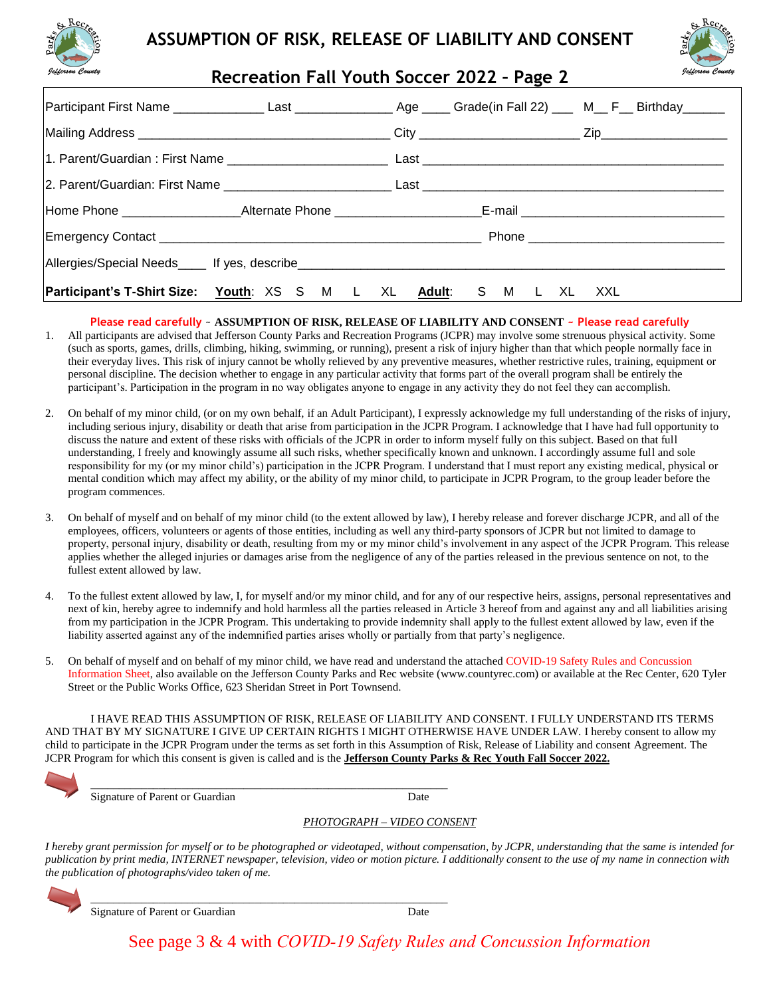



**Recreation Fall Youth Soccer 2022 – Page 2**

| Participant First Name ________________Last ________________________________Grade(in Fall 22) ______ M___ F___ Birthday________ |  |     |
|---------------------------------------------------------------------------------------------------------------------------------|--|-----|
|                                                                                                                                 |  |     |
|                                                                                                                                 |  |     |
|                                                                                                                                 |  |     |
|                                                                                                                                 |  |     |
|                                                                                                                                 |  |     |
|                                                                                                                                 |  |     |
| <b>Participant's T-Shirt Size: Youth:</b> XS S M L XL Adult: S M L XL                                                           |  | XXL |

### **Please read carefully** ~ **ASSUMPTION OF RISK, RELEASE OF LIABILITY AND CONSENT ~ Please read carefully**

- 1. All participants are advised that Jefferson County Parks and Recreation Programs (JCPR) may involve some strenuous physical activity. Some (such as sports, games, drills, climbing, hiking, swimming, or running), present a risk of injury higher than that which people normally face in their everyday lives. This risk of injury cannot be wholly relieved by any preventive measures, whether restrictive rules, training, equipment or personal discipline. The decision whether to engage in any particular activity that forms part of the overall program shall be entirely the participant's. Participation in the program in no way obligates anyone to engage in any activity they do not feel they can accomplish.
- 2. On behalf of my minor child, (or on my own behalf, if an Adult Participant), I expressly acknowledge my full understanding of the risks of injury, including serious injury, disability or death that arise from participation in the JCPR Program. I acknowledge that I have had full opportunity to discuss the nature and extent of these risks with officials of the JCPR in order to inform myself fully on this subject. Based on that full understanding, I freely and knowingly assume all such risks, whether specifically known and unknown. I accordingly assume full and sole responsibility for my (or my minor child's) participation in the JCPR Program. I understand that I must report any existing medical, physical or mental condition which may affect my ability, or the ability of my minor child, to participate in JCPR Program, to the group leader before the program commences.
- 3. On behalf of myself and on behalf of my minor child (to the extent allowed by law), I hereby release and forever discharge JCPR, and all of the employees, officers, volunteers or agents of those entities, including as well any third-party sponsors of JCPR but not limited to damage to property, personal injury, disability or death, resulting from my or my minor child's involvement in any aspect of the JCPR Program. This release applies whether the alleged injuries or damages arise from the negligence of any of the parties released in the previous sentence on not, to the fullest extent allowed by law.
- To the fullest extent allowed by law, I, for myself and/or my minor child, and for any of our respective heirs, assigns, personal representatives and next of kin, hereby agree to indemnify and hold harmless all the parties released in Article 3 hereof from and against any and all liabilities arising from my participation in the JCPR Program. This undertaking to provide indemnity shall apply to the fullest extent allowed by law, even if the liability asserted against any of the indemnified parties arises wholly or partially from that party's negligence.
- 5. On behalf of myself and on behalf of my minor child, we have read and understand the attached COVID-19 Safety Rules and Concussion Information Sheet, also available on the Jefferson County Parks and Rec website (www.countyrec.com) or available at the Rec Center, 620 Tyler Street or the Public Works Office, 623 Sheridan Street in Port Townsend.

I HAVE READ THIS ASSUMPTION OF RISK, RELEASE OF LIABILITY AND CONSENT. I FULLY UNDERSTAND ITS TERMS AND THAT BY MY SIGNATURE I GIVE UP CERTAIN RIGHTS I MIGHT OTHERWISE HAVE UNDER LAW. I hereby consent to allow my child to participate in the JCPR Program under the terms as set forth in this Assumption of Risk, Release of Liability and consent Agreement. The JCPR Program for which this consent is given is called and is the **Jefferson County Parks & Rec Youth Fall Soccer 2022.**

\_\_\_\_\_\_\_\_\_\_\_\_\_\_\_\_\_\_\_\_\_\_\_\_\_\_\_\_\_\_\_\_\_\_\_\_\_\_\_\_\_\_\_\_\_\_\_\_\_\_\_\_\_\_\_\_\_\_\_\_\_\_\_ Signature of Parent or Guardian Date

### *PHOTOGRAPH – VIDEO CONSENT*

*I hereby grant permission for myself or to be photographed or videotaped, without compensation, by JCPR, understanding that the same is intended for publication by print media, INTERNET newspaper, television, video or motion picture. I additionally consent to the use of my name in connection with the publication of photographs/video taken of me.*



\_\_\_\_\_\_\_\_\_\_\_\_\_\_\_\_\_\_\_\_\_\_\_\_\_\_\_\_\_\_\_\_\_\_\_\_\_\_\_\_\_\_\_\_\_\_\_\_\_\_\_\_\_\_\_\_\_\_\_\_\_\_\_ Signature of Parent or Guardian Date

See page 3 & 4 with *COVID-19 Safety Rules and Concussion Information*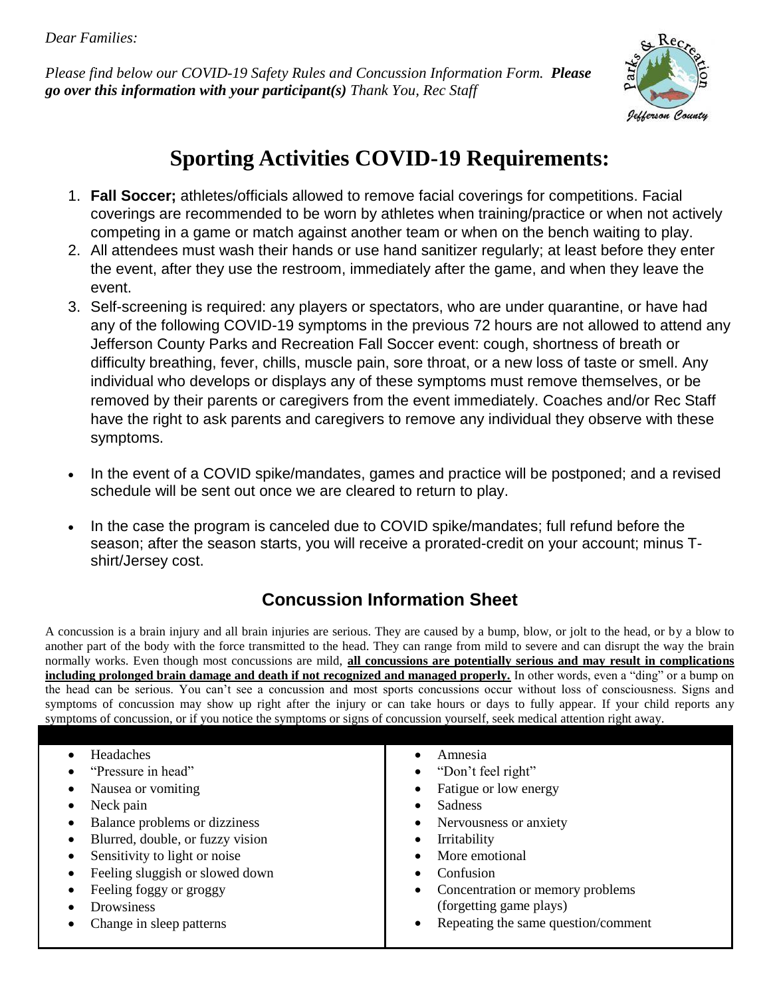*Dear Families:*

*Please find below our COVID-19 Safety Rules and Concussion Information Form. Please go over this information with your participant(s) Thank You, Rec Staff*



# **Sporting Activities COVID-19 Requirements:**

- 1. **Fall Soccer;** athletes/officials allowed to remove facial coverings for competitions. Facial coverings are recommended to be worn by athletes when training/practice or when not actively competing in a game or match against another team or when on the bench waiting to play.
- 2. All attendees must wash their hands or use hand sanitizer regularly; at least before they enter the event, after they use the restroom, immediately after the game, and when they leave the event.
- 3. Self-screening is required: any players or spectators, who are under quarantine, or have had any of the following COVID-19 symptoms in the previous 72 hours are not allowed to attend any Jefferson County Parks and Recreation Fall Soccer event: cough, shortness of breath or difficulty breathing, fever, chills, muscle pain, sore throat, or a new loss of taste or smell. Any individual who develops or displays any of these symptoms must remove themselves, or be removed by their parents or caregivers from the event immediately. Coaches and/or Rec Staff have the right to ask parents and caregivers to remove any individual they observe with these symptoms.
- In the event of a COVID spike/mandates, games and practice will be postponed; and a revised schedule will be sent out once we are cleared to return to play.
- In the case the program is canceled due to COVID spike/mandates; full refund before the season; after the season starts, you will receive a prorated-credit on your account; minus Tshirt/Jersey cost.

## **Concussion Information Sheet**

A concussion is a brain injury and all brain injuries are serious. They are caused by a bump, blow, or jolt to the head, or by a blow to another part of the body with the force transmitted to the head. They can range from mild to severe and can disrupt the way the brain normally works. Even though most concussions are mild, **all concussions are potentially serious and may result in complications including prolonged brain damage and death if not recognized and managed properly.** In other words, even a "ding" or a bump on the head can be serious. You can't see a concussion and most sports concussions occur without loss of consciousness. Signs and symptoms of concussion may show up right after the injury or can take hours or days to fully appear. If your child reports any symptoms of concussion, or if you notice the symptoms or signs of concussion yourself, seek medical attention right away.

| Headaches                        | Amnesia<br>٠                                     |
|----------------------------------|--------------------------------------------------|
| "Pressure in head"               | "Don't feel right"                               |
| Nausea or vomiting               | Fatigue or low energy                            |
| Neck pain                        | <b>Sadness</b>                                   |
| Balance problems or dizziness    | Nervousness or anxiety<br>$\bullet$              |
| Blurred, double, or fuzzy vision | Irritability<br>٠                                |
| Sensitivity to light or noise    | More emotional                                   |
| Feeling sluggish or slowed down  | Confusion                                        |
| Feeling foggy or groggy          | Concentration or memory problems                 |
| Drowsiness                       | (forgetting game plays)                          |
| Change in sleep patterns         | Repeating the same question/comment<br>$\bullet$ |
|                                  |                                                  |